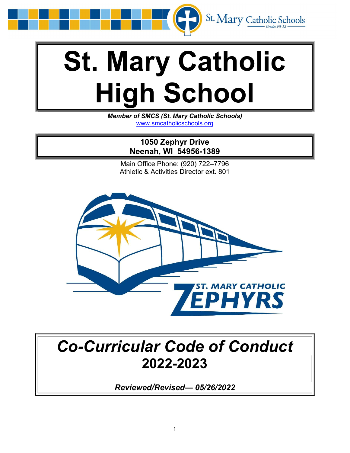

# St. Mary Catholic High School

Member of SMCS (St. Mary Catholic Schools) www.smcatholicschools.org

> 1050 Zephyr Drive Neenah, WI 54956-1389

Main Office Phone: (920) 722–7796 Athletic & Activities Director ext. 801



## Co-Curricular Code of Conduct 2022-2023

Reviewed/Revised— 05/26/2022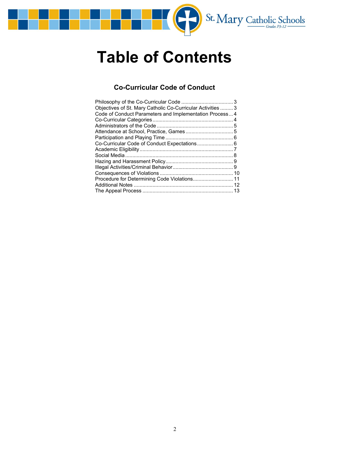

# Table of Contents

### Co-Curricular Code of Conduct

| Objectives of St. Mary Catholic Co-Curricular Activities  3 |  |
|-------------------------------------------------------------|--|
| Code of Conduct Parameters and Implementation Process 4     |  |
|                                                             |  |
|                                                             |  |
|                                                             |  |
|                                                             |  |
|                                                             |  |
|                                                             |  |
|                                                             |  |
|                                                             |  |
|                                                             |  |
|                                                             |  |
|                                                             |  |
|                                                             |  |
|                                                             |  |
|                                                             |  |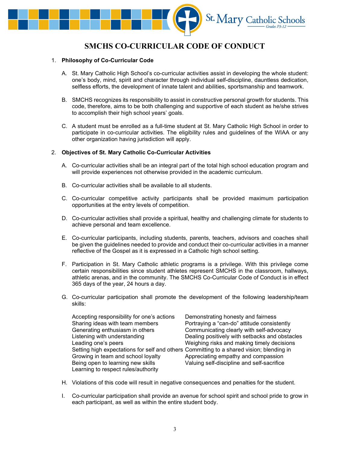

## SMCHS CO-CURRICULAR CODE OF CONDUCT

#### 1. Philosophy of Co-Curricular Code

- A. St. Mary Catholic High School's co-curricular activities assist in developing the whole student: one's body, mind, spirit and character through individual self-discipline, dauntless dedication, selfless efforts, the development of innate talent and abilities, sportsmanship and teamwork.
- B. SMCHS recognizes its responsibility to assist in constructive personal growth for students. This code, therefore, aims to be both challenging and supportive of each student as he/she strives to accomplish their high school years' goals.
- C. A student must be enrolled as a full-time student at St. Mary Catholic High School in order to participate in co-curricular activities. The eligibility rules and guidelines of the WIAA or any other organization having jurisdiction will apply.

#### 2. Objectives of St. Mary Catholic Co-Curricular Activities

- A. Co-curricular activities shall be an integral part of the total high school education program and will provide experiences not otherwise provided in the academic curriculum.
- B. Co-curricular activities shall be available to all students.
- C. Co-curricular competitive activity participants shall be provided maximum participation opportunities at the entry levels of competition.
- D. Co-curricular activities shall provide a spiritual, healthy and challenging climate for students to achieve personal and team excellence.
- E. Co-curricular participants, including students, parents, teachers, advisors and coaches shall be given the guidelines needed to provide and conduct their co-curricular activities in a manner reflective of the Gospel as it is expressed in a Catholic high school setting.
- F. Participation in St. Mary Catholic athletic programs is a privilege. With this privilege come certain responsibilities since student athletes represent SMCHS in the classroom, hallways, athletic arenas, and in the community. The SMCHS Co-Curricular Code of Conduct is in effect 365 days of the year, 24 hours a day.
- G. Co-curricular participation shall promote the development of the following leadership/team skills:

| Accepting responsibility for one's actions                                               | Demonstrating honesty and fairness             |
|------------------------------------------------------------------------------------------|------------------------------------------------|
| Sharing ideas with team members                                                          | Portraying a "can-do" attitude consistently    |
| Generating enthusiasm in others                                                          | Communicating clearly with self-advocacy       |
| Listening with understanding                                                             | Dealing positively with setbacks and obstacles |
| Leading one's peers                                                                      | Weighing risks and making timely decisions     |
| Setting high expectations for self and others Committing to a shared vision; blending in |                                                |
| Growing in team and school loyalty                                                       | Appreciating empathy and compassion            |
| Being open to learning new skills                                                        | Valuing self-discipline and self-sacrifice     |
| Learning to respect rules/authority                                                      |                                                |

- H. Violations of this code will result in negative consequences and penalties for the student.
- I. Co-curricular participation shall provide an avenue for school spirit and school pride to grow in each participant, as well as within the entire student body.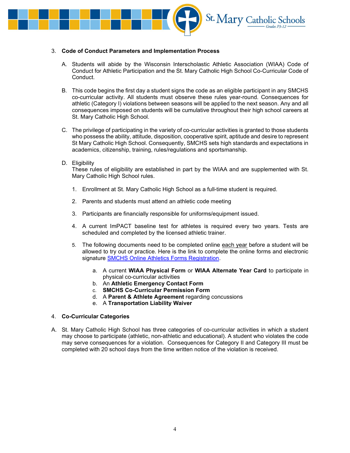

#### 3. Code of Conduct Parameters and Implementation Process

- A. Students will abide by the Wisconsin Interscholastic Athletic Association (WIAA) Code of Conduct for Athletic Participation and the St. Mary Catholic High School Co-Curricular Code of Conduct.
- B. This code begins the first day a student signs the code as an eligible participant in any SMCHS co-curricular activity. All students must observe these rules year-round. Consequences for athletic (Category I) violations between seasons will be applied to the next season. Any and all consequences imposed on students will be cumulative throughout their high school careers at St. Mary Catholic High School.
- C. The privilege of participating in the variety of co-curricular activities is granted to those students who possess the ability, attitude, disposition, cooperative spirit, aptitude and desire to represent St Mary Catholic High School. Consequently, SMCHS sets high standards and expectations in academics, citizenship, training, rules/regulations and sportsmanship.
- D. Eligibility

These rules of eligibility are established in part by the WIAA and are supplemented with St. Mary Catholic High School rules.

- 1. Enrollment at St. Mary Catholic High School as a full-time student is required.
- 2. Parents and students must attend an athletic code meeting
- 3. Participants are financially responsible for uniforms/equipment issued.
- 4. A current ImPACT baseline test for athletes is required every two years. Tests are scheduled and completed by the licensed athletic trainer.
- 5. The following documents need to be completed online each year before a student will be allowed to try out or practice. Here is the link to complete the online forms and electronic signature SMCHS Online Athletics Forms Registration.
	- a. A current WIAA Physical Form or WIAA Alternate Year Card to participate in physical co-curricular activities
	- b. An Athletic Emergency Contact Form
	- c. SMCHS Co-Curricular Permission Form
	- d. A Parent & Athlete Agreement regarding concussions
	- e. A Transportation Liability Waiver

#### 4. Co-Curricular Categories

A. St. Mary Catholic High School has three categories of co-curricular activities in which a student may choose to participate (athletic, non-athletic and educational). A student who violates the code may serve consequences for a violation. Consequences for Category II and Category III must be completed with 20 school days from the time written notice of the violation is received.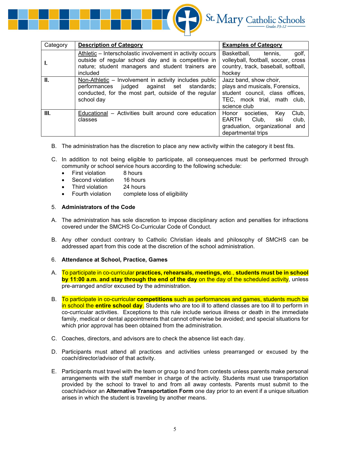

| Category | <b>Description of Category</b>                                                                                                                                                    | <b>Examples of Category</b>                                                                                                                |
|----------|-----------------------------------------------------------------------------------------------------------------------------------------------------------------------------------|--------------------------------------------------------------------------------------------------------------------------------------------|
| ı.       | Athletic – Interscholastic involvement in activity occurs<br>outside of regular school day and is competitive in<br>nature; student managers and student trainers are<br>included | golf,<br>Basketball.<br>tennis.<br>volleyball, football, soccer, cross<br>country, track, baseball, softball,<br>hockey                    |
| Ш.       | Non-Athletic - Involvement in activity includes public<br>judged against set standards;<br>performances<br>conducted, for the most part, outside of the regular<br>school day     | Jazz band, show choir,<br>plays and musicals, Forensics,<br>student council, class offices,<br>TEC, mock trial, math club,<br>science club |
| III.     | Educational – Activities built around core education<br>classes                                                                                                                   | Club,<br>Key<br>societies.<br>Honor<br>Club,<br>club,<br><b>EARTH</b><br>ski<br>graduation, organizational and<br>departmental trips       |

- B. The administration has the discretion to place any new activity within the category it best fits.
- C. In addition to not being eligible to participate, all consequences must be performed through community or school service hours according to the following schedule:
	- First violation 8 hours
	- Second violation 16 hours
	- Third violation 24 hours
	- Fourth violation complete loss of eligibility

#### 5. Administrators of the Code

- A. The administration has sole discretion to impose disciplinary action and penalties for infractions covered under the SMCHS Co-Curricular Code of Conduct.
- B. Any other conduct contrary to Catholic Christian ideals and philosophy of SMCHS can be addressed apart from this code at the discretion of the school administration.
- 6. Attendance at School, Practice, Games
- A. To participate in co-curricular **practices, rehearsals, meetings, etc., students must be in school** by 11:00 a.m. and stay through the end of the day on the day of the scheduled activity, unless pre-arranged and/or excused by the administration.
- B. To participate in co-curricular **competitions** such as performances and games, students much be in school the entire school day. Students who are too ill to attend classes are too ill to perform in co-curricular activities. Exceptions to this rule include serious illness or death in the immediate family, medical or dental appointments that cannot otherwise be avoided; and special situations for which prior approval has been obtained from the administration.
- C. Coaches, directors, and advisors are to check the absence list each day.
- D. Participants must attend all practices and activities unless prearranged or excused by the coach/director/advisor of that activity.
- E. Participants must travel with the team or group to and from contests unless parents make personal arrangements with the staff member in charge of the activity. Students must use transportation provided by the school to travel to and from all away contests. Parents must submit to the coach/advisor an Alternative Transportation Form one day prior to an event if a unique situation arises in which the student is traveling by another means.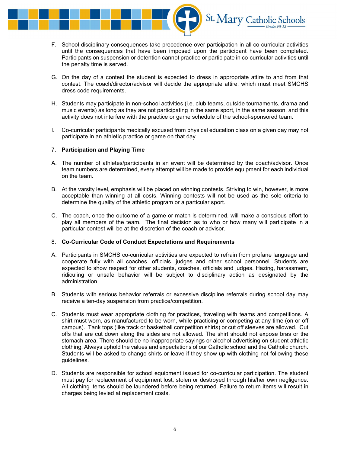

- F. School disciplinary consequences take precedence over participation in all co-curricular activities until the consequences that have been imposed upon the participant have been completed. Participants on suspension or detention cannot practice or participate in co-curricular activities until the penalty time is served.
- G. On the day of a contest the student is expected to dress in appropriate attire to and from that contest. The coach/director/advisor will decide the appropriate attire, which must meet SMCHS dress code requirements.
- H. Students may participate in non-school activities (i.e. club teams, outside tournaments, drama and music events) as long as they are not participating in the same sport, in the same season, and this activity does not interfere with the practice or game schedule of the school-sponsored team.
- I. Co-curricular participants medically excused from physical education class on a given day may not participate in an athletic practice or game on that day.

#### 7. Participation and Playing Time

- A. The number of athletes/participants in an event will be determined by the coach/advisor. Once team numbers are determined, every attempt will be made to provide equipment for each individual on the team.
- B. At the varsity level, emphasis will be placed on winning contests. Striving to win, however, is more acceptable than winning at all costs. Winning contests will not be used as the sole criteria to determine the quality of the athletic program or a particular sport.
- C. The coach, once the outcome of a game or match is determined, will make a conscious effort to play all members of the team. The final decision as to who or how many will participate in a particular contest will be at the discretion of the coach or advisor.

#### 8. Co-Curricular Code of Conduct Expectations and Requirements

- A. Participants in SMCHS co-curricular activities are expected to refrain from profane language and cooperate fully with all coaches, officials, judges and other school personnel. Students are expected to show respect for other students, coaches, officials and judges. Hazing, harassment, ridiculing or unsafe behavior will be subject to disciplinary action as designated by the administration.
- B. Students with serious behavior referrals or excessive discipline referrals during school day may receive a ten-day suspension from practice/competition.
- C. Students must wear appropriate clothing for practices, traveling with teams and competitions. A shirt must worn, as manufactured to be worn, while practicing or competing at any time (on or off campus). Tank tops (like track or basketball competition shirts) or cut off sleeves are allowed. Cut offs that are cut down along the sides are not allowed. The shirt should not expose bras or the stomach area. There should be no inappropriate sayings or alcohol advertising on student athletic clothing. Always uphold the values and expectations of our Catholic school and the Catholic church. Students will be asked to change shirts or leave if they show up with clothing not following these guidelines.
- D. Students are responsible for school equipment issued for co-curricular participation. The student must pay for replacement of equipment lost, stolen or destroyed through his/her own negligence. All clothing items should be laundered before being returned. Failure to return items will result in charges being levied at replacement costs.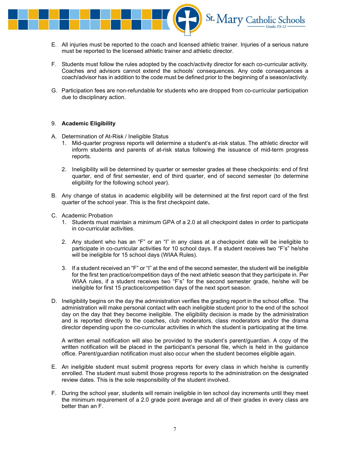

- E. All injuries must be reported to the coach and licensed athletic trainer. Injuries of a serious nature must be reported to the licensed athletic trainer and athletic director.
- F. Students must follow the rules adopted by the coach/activity director for each co-curricular activity. Coaches and advisors cannot extend the schools' consequences. Any code consequences a coach/advisor has in addition to the code must be defined prior to the beginning of a season/activity.
- G. Participation fees are non-refundable for students who are dropped from co-curricular participation due to disciplinary action.

#### 9. Academic Eligibility

- A. Determination of At-Risk / Ineligible Status
	- 1. Mid-quarter progress reports will determine a student's at-risk status. The athletic director will inform students and parents of at-risk status following the issuance of mid-term progress reports.
	- 2. Ineligibility will be determined by quarter or semester grades at these checkpoints: end of first quarter, end of first semester, end of third quarter, end of second semester (to determine eligibility for the following school year).
- B. Any change of status in academic eligibility will be determined at the first report card of the first quarter of the school year. This is the first checkpoint date.
- C. Academic Probation
	- 1. Students must maintain a minimum GPA of a 2.0 at all checkpoint dates in order to participate in co-curricular activities.
	- 2. Any student who has an "F" or an "I" in any class at a checkpoint date will be ineligible to participate in co-curricular activities for 10 school days. If a student receives two "F's" he/she will be ineligible for 15 school days (WIAA Rules).
	- 3. If a student received an "F" or "I" at the end of the second semester, the student will be ineligible for the first ten practice/competition days of the next athletic season that they participate in. Per WIAA rules, if a student receives two "F's" for the second semester grade, he/she will be ineligible for first 15 practice/competition days of the next sport season.
- D. Ineligibility begins on the day the administration verifies the grading report in the school office. The administration will make personal contact with each ineligible student prior to the end of the school day on the day that they become ineligible. The eligibility decision is made by the administration and is reported directly to the coaches, club moderators, class moderators and/or the drama director depending upon the co-curricular activities in which the student is participating at the time.

A written email notification will also be provided to the student's parent/guardian. A copy of the written notification will be placed in the participant's personal file, which is held in the guidance office. Parent/guardian notification must also occur when the student becomes eligible again.

- E. An ineligible student must submit progress reports for every class in which he/she is currently enrolled. The student must submit those progress reports to the administration on the designated review dates. This is the sole responsibility of the student involved.
- F. During the school year, students will remain ineligible in ten school day increments until they meet the minimum requirement of a 2.0 grade point average and all of their grades in every class are better than an F.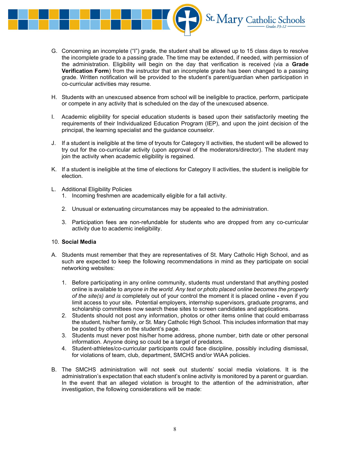

- G. Concerning an incomplete ("I") grade, the student shall be allowed up to 15 class days to resolve the incomplete grade to a passing grade. The time may be extended, if needed, with permission of the administration. Eligibility will begin on the day that verification is received (via a Grade **Verification Form**) from the instructor that an incomplete grade has been changed to a passing grade. Written notification will be provided to the student's parent/guardian when participation in co-curricular activities may resume.
- H. Students with an unexcused absence from school will be ineligible to practice, perform, participate or compete in any activity that is scheduled on the day of the unexcused absence.
- I. Academic eligibility for special education students is based upon their satisfactorily meeting the requirements of their Individualized Education Program (IEP), and upon the joint decision of the principal, the learning specialist and the guidance counselor.
- J. If a student is ineligible at the time of tryouts for Category II activities, the student will be allowed to try out for the co-curricular activity (upon approval of the moderators/director). The student may join the activity when academic eligibility is regained.
- K. If a student is ineligible at the time of elections for Category II activities, the student is ineligible for election.
- L. Additional Eligibility Policies
	- 1. Incoming freshmen are academically eligible for a fall activity.
	- 2. Unusual or extenuating circumstances may be appealed to the administration.
	- 3. Participation fees are non-refundable for students who are dropped from any co-curricular activity due to academic ineligibility.

#### 10. Social Media

- A. Students must remember that they are representatives of St. Mary Catholic High School, and as such are expected to keep the following recommendations in mind as they participate on social networking websites:
	- 1. Before participating in any online community, students must understand that anything posted online is available to anyone in the world. Any text or photo placed online becomes the property of the site(s) and is completely out of your control the moment it is placed online - even if you limit access to your site. Potential employers, internship supervisors, graduate programs, and scholarship committees now search these sites to screen candidates and applications.
	- 2. Students should not post any information, photos or other items online that could embarrass the student, his/her family, or St. Mary Catholic High School. This includes information that may be posted by others on the student's page.
	- 3. Students must never post his/her home address, phone number, birth date or other personal information. Anyone doing so could be a target of predators.
	- 4. Student-athletes/co-curricular participants could face discipline, possibly including dismissal, for violations of team, club, department, SMCHS and/or WIAA policies.
- B. The SMCHS administration will not seek out students' social media violations. It is the administration's expectation that each student's online activity is monitored by a parent or guardian. In the event that an alleged violation is brought to the attention of the administration, after investigation, the following considerations will be made: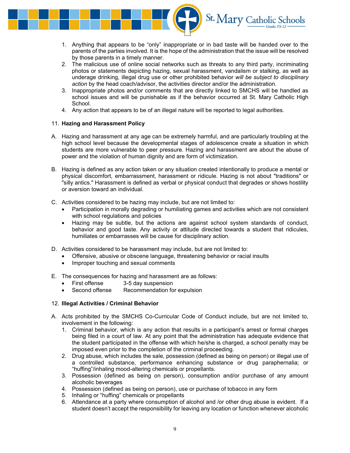

- 1. Anything that appears to be "only" inappropriate or in bad taste will be handed over to the parents of the parties involved. It is the hope of the administration that the issue will be resolved by those parents in a timely manner.
- 2. The malicious use of online social networks such as threats to any third party, incriminating photos or statements depicting hazing, sexual harassment, vandalism or stalking, as well as underage drinking, illegal drug use or other prohibited behavior will be subject to disciplinary action by the head coach/advisor, the activities director and/or the administration.
- 3. Inappropriate photos and/or comments that are directly linked to SMCHS will be handled as school issues and will be punishable as if the behavior occurred at St. Mary Catholic High School.
- 4. Any action that appears to be of an illegal nature will be reported to legal authorities.

#### 11. Hazing and Harassment Policy

- A. Hazing and harassment at any age can be extremely harmful, and are particularly troubling at the high school level because the developmental stages of adolescence create a situation in which students are more vulnerable to peer pressure. Hazing and harassment are about the abuse of power and the violation of human dignity and are form of victimization.
- B. Hazing is defined as any action taken or any situation created intentionally to produce a mental or physical discomfort, embarrassment, harassment or ridicule. Hazing is not about "traditions" or "silly antics." Harassment is defined as verbal or physical conduct that degrades or shows hostility or aversion toward an individual.
- C. Activities considered to be hazing may include, but are not limited to:
	- Participation in morally degrading or humiliating games and activities which are not consistent with school regulations and policies
	- Hazing may be subtle, but the actions are against school system standards of conduct, behavior and good taste. Any activity or attitude directed towards a student that ridicules, humiliates or embarrasses will be cause for disciplinary action.
- D. Activities considered to be harassment may include, but are not limited to:
	- Offensive, abusive or obscene language, threatening behavior or racial insults
	- Improper touching and sexual comments
- E. The consequences for hazing and harassment are as follows:
	- First offense 3-5 day suspension
	- Second offense Recommendation for expulsion

#### 12. Illegal Activities / Criminal Behavior

- A. Acts prohibited by the SMCHS Co-Curricular Code of Conduct include, but are not limited to, involvement in the following:
	- 1. Criminal behavior, which is any action that results in a participant's arrest or formal charges being filed in a court of law. At any point that the administration has adequate evidence that the student participated in the offense with which he/she is charged, a school penalty may be imposed even prior to the completion of the criminal proceeding.
	- 2. Drug abuse, which includes the sale, possession (defined as being on person) or illegal use of a controlled substance, performance enhancing substance or drug paraphernalia; or "huffing"/inhaling mood-altering chemicals or propellants.
	- 3. Possession (defined as being on person), consumption and/or purchase of any amount alcoholic beverages
	- 4. Possession (defined as being on person), use or purchase of tobacco in any form
	- 5. Inhaling or "huffing" chemicals or propellants
	- 6. Attendance at a party where consumption of alcohol and /or other drug abuse is evident. If a student doesn't accept the responsibility for leaving any location or function whenever alcoholic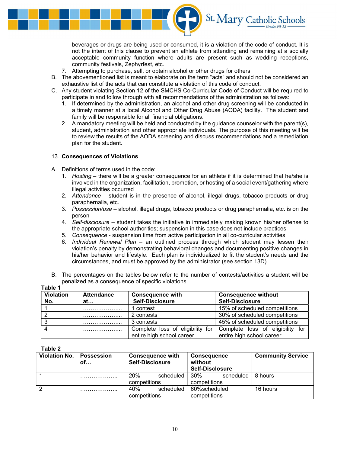

beverages or drugs are being used or consumed, it is a violation of the code of conduct. It is not the intent of this clause to prevent an athlete from attending and remaining at a socially acceptable community function where adults are present such as wedding receptions, community festivals, Zephyrfest, etc.

- 7. Attempting to purchase, sell, or obtain alcohol or other drugs for others
- B. The abovementioned list is meant to elaborate on the term "acts" and should not be considered an exhaustive list of the acts that can constitute a violation of this code of conduct.
- C. Any student violating Section 12 of the SMCHS Co-Curricular Code of Conduct will be required to participate in and follow through with all recommendations of the administration as follows:
	- 1. If determined by the administration, an alcohol and other drug screening will be conducted in a timely manner at a local Alcohol and Other Drug Abuse (AODA) facility. The student and family will be responsible for all financial obligations.
	- 2. A mandatory meeting will be held and conducted by the guidance counselor with the parent(s), student, administration and other appropriate individuals. The purpose of this meeting will be to review the results of the AODA screening and discuss recommendations and a remediation plan for the student.

#### 13. Consequences of Violations

- A. Definitions of terms used in the code:
	- 1. Hosting there will be a greater consequence for an athlete if it is determined that he/she is involved in the organization, facilitation, promotion, or hosting of a social event/gathering where illegal activities occurred
	- 2. Attendance student is in the presence of alcohol, illegal drugs, tobacco products or drug paraphernalia, etc.
	- 3. Possession/use alcohol, illegal drugs, tobacco products or drug paraphernalia, etc. is on the person
	- 4. Self-disclosure student takes the initiative in immediately making known his/her offense to the appropriate school authorities; suspension in this case does not include practices
	- 5. Consequence suspension time from active participation in all co-curricular activities
	- 6. Individual Renewal Plan an outlined process through which student may lessen their violation's penalty by demonstrating behavioral changes and documenting positive changes in his/her behavior and lifestyle. Each plan is individualized to fit the student's needs and the circumstances, and must be approved by the administrator (see section 13D).
- B. The percentages on the tables below refer to the number of contests/activities a student will be penalized as a consequence of specific violations.

| Table 1          |                   |                                  |                                  |  |  |  |
|------------------|-------------------|----------------------------------|----------------------------------|--|--|--|
| <b>Violation</b> | <b>Attendance</b> | <b>Consequence with</b>          | <b>Consequence without</b>       |  |  |  |
| No.              | at                | <b>Self-Disclosure</b>           | <b>Self-Disclosure</b>           |  |  |  |
|                  |                   | 1 contest                        | 15% of scheduled competitions    |  |  |  |
|                  |                   | 2 contests                       | 30% of scheduled competitions    |  |  |  |
|                  |                   | 3 contests                       | 45% of scheduled competitions    |  |  |  |
|                  |                   | Complete loss of eligibility for | Complete loss of eligibility for |  |  |  |
|                  |                   | entire high school career        | entire high school career        |  |  |  |

Table 2

| <b>Violation No.</b> | <b>Possession</b><br>of | <b>Consequence with</b><br><b>Self-Disclosure</b> |           | <b>Consequence</b><br>without<br><b>Self-Disclosure</b> |           | <b>Community Service</b> |
|----------------------|-------------------------|---------------------------------------------------|-----------|---------------------------------------------------------|-----------|--------------------------|
|                      |                         | 20%                                               | scheduled | 30%                                                     | scheduled | 8 hours                  |
|                      |                         | competitions                                      |           | competitions                                            |           |                          |
| 2                    | .                       | 40%                                               | scheduled | 60%scheduled                                            |           | 16 hours                 |
|                      |                         | competitions                                      |           | competitions                                            |           |                          |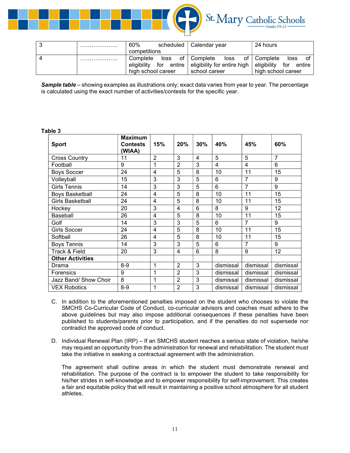

| ۰J                     | . | 60%<br>scheduled   |            | ∣ Calendar year             | 24 hours                     |  |
|------------------------|---|--------------------|------------|-----------------------------|------------------------------|--|
|                        |   | competitions       |            |                             |                              |  |
| $\boldsymbol{\Lambda}$ | . | Complete           | loss       | of   Complete<br>loss       | of   Complete<br>loss<br>οt  |  |
|                        |   | eligibility        | for entire | eligibility for entire high | eliaibilitv<br>for<br>entire |  |
|                        |   | high school career |            | school career               | high school career           |  |

Sample table – showing examples as illustrations only; exact data varies from year to year. The percentage is calculated using the exact number of activities/contests for the specific year.

#### Table 3

| <b>Sport</b>            | <b>Maximum</b><br><b>Contests</b><br>(WIAA) | 15%            | 20%            | 30%            | 40%       | 45%            | 60%            |
|-------------------------|---------------------------------------------|----------------|----------------|----------------|-----------|----------------|----------------|
| <b>Cross Country</b>    | 11                                          | $\overline{2}$ | 3              | $\overline{4}$ | 5         | 5              | $\overline{7}$ |
| Football                | 9                                           | 1              | $\overline{2}$ | 3              | 4         | 4              | 6              |
| <b>Boys Soccer</b>      | 24                                          | 4              | 5              | 8              | 10        | 11             | 15             |
| Volleyball              | 15                                          | 3              | 3              | 5              | 6         | $\overline{7}$ | 9              |
| <b>Girls Tennis</b>     | 14                                          | 3              | 3              | 5              | 6         | 7              | 9              |
| <b>Boys Basketball</b>  | 24                                          | 4              | 5              | 8              | 10        | 11             | 15             |
| <b>Girls Basketball</b> | 24                                          | $\overline{4}$ | 5              | 8              | 10        | 11             | 15             |
| Hockey                  | 20                                          | 3              | 4              | 6              | 8         | 9              | 12             |
| Baseball                | 26                                          | 4              | 5              | 8              | 10        | 11             | 15             |
| Golf                    | 14                                          | 3              | 3              | 5              | 6         | $\overline{7}$ | 9              |
| <b>Girls Soccer</b>     | 24                                          | 4              | 5              | 8              | 10        | 11             | 15             |
| Softball                | 26                                          | $\overline{4}$ | 5              | 8              | 10        | 11             | 15             |
| <b>Boys Tennis</b>      | 14                                          | 3              | 3              | 5              | 6         | 7              | 9              |
| Track & Field           | 20                                          | 3              | 4              | 6              | 8         | 9              | 12             |
| <b>Other Activities</b> |                                             |                |                |                |           |                |                |
| Drama                   | $8 - 9$                                     | 1              | $\overline{2}$ | 3              | dismissal | dismissal      | dismissal      |
| Forensics               | 9                                           | 1              | $\overline{2}$ | 3              | dismissal | dismissal      | dismissal      |
| Jazz Band/ Show Choir   | 8                                           | 1              | $\overline{2}$ | 3              | dismissal | dismissal      | dismissal      |
| <b>VEX Robotics</b>     | $8-9$                                       | 1              | $\overline{2}$ | 3              | dismissal | dismissal      | dismissal      |

- C. In addition to the aforementioned penalties imposed on the student who chooses to violate the SMCHS Co-Curricular Code of Conduct, co-curricular advisors and coaches must adhere to the above guidelines but may also impose additional consequences if these penalties have been published to students/parents prior to participation, and if the penalties do not supersede nor contradict the approved code of conduct.
- D. Individual Renewal Plan (IRP) If an SMCHS student reaches a serious state of violation, he/she may request an opportunity from the administration for renewal and rehabilitation. The student must take the initiative in seeking a contractual agreement with the administration.

 The agreement shall outline areas in which the student must demonstrate renewal and rehabilitation. The purpose of the contract is to empower the student to take responsibility for his/her strides in self-knowledge and to empower responsibility for self-improvement. This creates a fair and equitable policy that will result in maintaining a positive school atmosphere for all student athletes.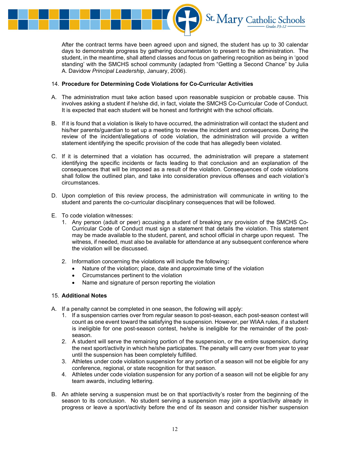

After the contract terms have been agreed upon and signed, the student has up to 30 calendar days to demonstrate progress by gathering documentation to present to the administration. The student, in the meantime, shall attend classes and focus on gathering recognition as being in 'good standing' with the SMCHS school community (adapted from "Getting a Second Chance" by Julia A. Davidow Principal Leadership, January, 2006).

#### 14. Procedure for Determining Code Violations for Co-Curricular Activities

- A. The administration must take action based upon reasonable suspicion or probable cause. This involves asking a student if he/she did, in fact, violate the SMCHS Co-Curricular Code of Conduct. It is expected that each student will be honest and forthright with the school officials.
- B. If it is found that a violation is likely to have occurred, the administration will contact the student and his/her parents/guardian to set up a meeting to review the incident and consequences. During the review of the incident/allegations of code violation, the administration will provide a written statement identifying the specific provision of the code that has allegedly been violated.
- C. If it is determined that a violation has occurred, the administration will prepare a statement identifying the specific incidents or facts leading to that conclusion and an explanation of the consequences that will be imposed as a result of the violation. Consequences of code violations shall follow the outlined plan, and take into consideration previous offenses and each violation's circumstances.
- D. Upon completion of this review process, the administration will communicate in writing to the student and parents the co-curricular disciplinary consequences that will be followed.
- E. To code violation witnesses:
	- 1. Any person (adult or peer) accusing a student of breaking any provision of the SMCHS Co-Curricular Code of Conduct must sign a statement that details the violation. This statement may be made available to the student, parent, and school official in charge upon request. The witness, if needed, must also be available for attendance at any subsequent conference where the violation will be discussed.
	- 2. Information concerning the violations will include the following:
		- Nature of the violation; place, date and approximate time of the violation
		- Circumstances pertinent to the violation
		- Name and signature of person reporting the violation

#### 15. Additional Notes

- A. If a penalty cannot be completed in one season, the following will apply:
	- 1. If a suspension carries over from regular season to post-season, each post-season contest will count as one event toward the satisfying the suspension. However, per WIAA rules, if a student is ineligible for one post-season contest, he/she is ineligible for the remainder of the postseason.
	- 2. A student will serve the remaining portion of the suspension, or the entire suspension, during the next sport/activity in which he/she participates. The penalty will carry over from year to year until the suspension has been completely fulfilled.
	- 3. Athletes under code violation suspension for any portion of a season will not be eligible for any conference, regional, or state recognition for that season.
	- 4. Athletes under code violation suspension for any portion of a season will not be eligible for any team awards, including lettering.
- B. An athlete serving a suspension must be on that sport/activity's roster from the beginning of the season to its conclusion. No student serving a suspension may join a sport/activity already in progress or leave a sport/activity before the end of its season and consider his/her suspension